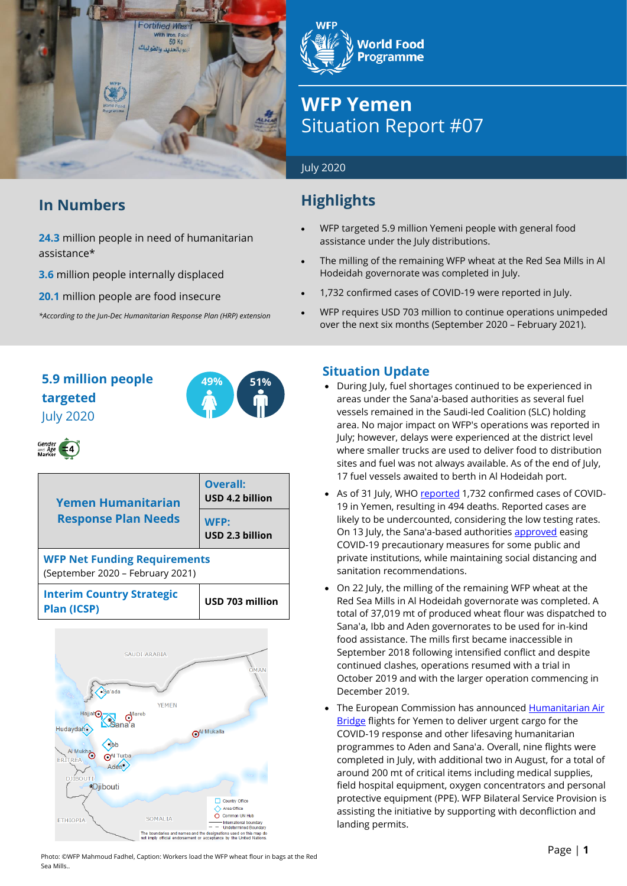

### **In Numbers**

**24.3** million people in need of humanitarian assistance\*

**3.6** million people internally displaced

**20.1** million people are food insecure

*\*According to the Jun-Dec Humanitarian Response Plan (HRP) extension*

# **World Food Programme**

## **WFP Yemen** Situation Report #07

#### July 2020

### **Highlights**

- WFP targeted 5.9 million Yemeni people with general food assistance under the July distributions.
- The milling of the remaining WFP wheat at the Red Sea Mills in Al Hodeidah governorate was completed in July.
- 1,732 confirmed cases of COVID-19 were reported in July.
- WFP requires USD 703 million to continue operations unimpeded over the next six months (September 2020 – February 2021).

### **5.9 million people 49% 51% targeted** July 2020



| <b>Yemen Humanitarian</b>                                               | Overall:<br>USD 4.2 billion |  |  |  |  |
|-------------------------------------------------------------------------|-----------------------------|--|--|--|--|
| <b>Response Plan Needs</b>                                              | WFP:<br>USD 2.3 billion     |  |  |  |  |
| <b>WFP Net Funding Requirements</b><br>(September 2020 - February 2021) |                             |  |  |  |  |
| <b>Interim Country Strategic</b><br><b>Plan (ICSP)</b>                  | USD 703 million             |  |  |  |  |



### **Situation Update**

- During July, fuel shortages continued to be experienced in areas under the Sana'a-based authorities as several fuel vessels remained in the Saudi-led Coalition (SLC) holding area. No major impact on WFP's operations was reported in July; however, delays were experienced at the district level where smaller trucks are used to deliver food to distribution sites and fuel was not always available. As of the end of July, 17 fuel vessels awaited to berth in Al Hodeidah port.
- As of 31 July, WH[O reported](https://app.powerbi.com/view?r=eyJrIjoiZjE2NzJjZDItNDgyZi00NDFkLWFlMjItNjA2MjIwMWYzODJkIiwidCI6ImY2MTBjMGI3LWJkMjQtNGIzOS04MTBiLTNkYzI4MGFmYjU5MCIsImMiOjh9) 1,732 confirmed cases of COVID-19 in Yemen, resulting in 494 deaths. Reported cases are likely to be undercounted, considering the low testing rates. On 13 July, the Sana'a-based authoritie[s approved](https://www.aljazeera.com/news/2020/07/global-coronavirus-cases-top-13-million-live-updates-200713235726804.html) easing COVID-19 precautionary measures for some public and private institutions, while maintaining social distancing and sanitation recommendations.
- On 22 July, the milling of the remaining WFP wheat at the Red Sea Mills in Al Hodeidah governorate was completed. A total of 37,019 mt of produced wheat flour was dispatched to Sana'a, Ibb and Aden governorates to be used for in-kind food assistance. The mills first became inaccessible in September 2018 following intensified conflict and despite continued clashes, operations resumed with a trial in October 2019 and with the larger operation commencing in December 2019.
- The European Commission has announced Humanitarian Air [Bridge](https://ec.europa.eu/commission/presscorner/detail/en/IP_20_1384) flights for Yemen to deliver urgent cargo for the COVID-19 response and other lifesaving humanitarian programmes to Aden and Sana'a. Overall, nine flights were completed in July, with additional two in August, for a total of around 200 mt of critical items including medical supplies, field hospital equipment, oxygen concentrators and personal protective equipment (PPE). WFP Bilateral Service Provision is assisting the initiative by supporting with deconfliction and landing permits.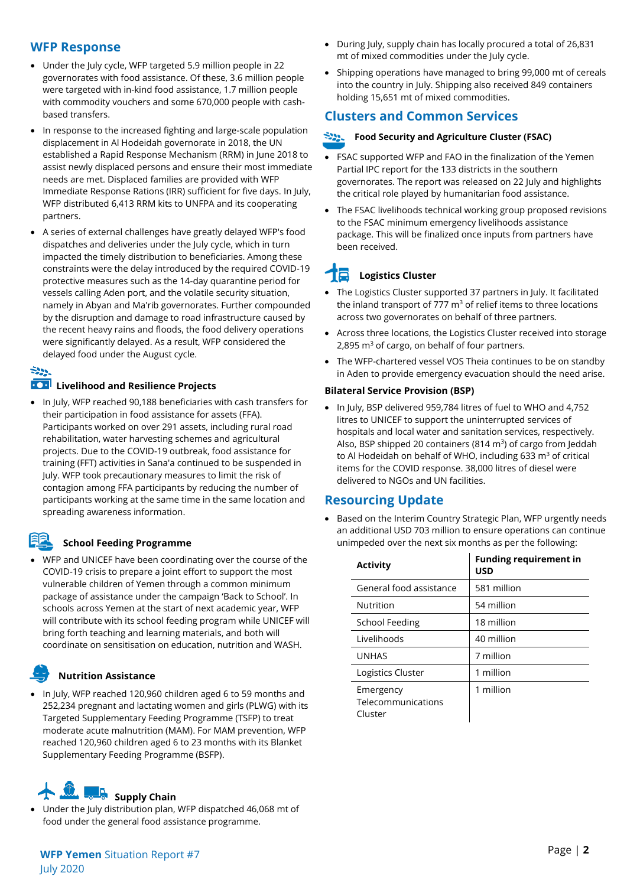#### **WFP Response**

- Under the July cycle, WFP targeted 5.9 million people in 22 governorates with food assistance. Of these, 3.6 million people were targeted with in-kind food assistance, 1.7 million people with commodity vouchers and some 670,000 people with cashbased transfers.
- In response to the increased fighting and large-scale population displacement in Al Hodeidah governorate in 2018, the UN established a Rapid Response Mechanism (RRM) in June 2018 to assist newly displaced persons and ensure their most immediate needs are met. Displaced families are provided with WFP Immediate Response Rations (IRR) sufficient for five days. In July, WFP distributed 6,413 RRM kits to UNFPA and its cooperating partners.
- A series of external challenges have greatly delayed WFP's food dispatches and deliveries under the July cycle, which in turn impacted the timely distribution to beneficiaries. Among these constraints were the delay introduced by the required COVID-19 protective measures such as the 14-day quarantine period for vessels calling Aden port, and the volatile security situation, namely in Abyan and Ma'rib governorates. Further compounded by the disruption and damage to road infrastructure caused by the recent heavy rains and floods, the food delivery operations were significantly delayed. As a result, WFP considered the delayed food under the August cycle.

#### 522

#### **100** Livelihood and Resilience Projects

• In July, WFP reached 90,188 beneficiaries with cash transfers for their participation in food assistance for assets (FFA). Participants worked on over 291 assets, including rural road rehabilitation, water harvesting schemes and agricultural projects. Due to the COVID-19 outbreak, food assistance for training (FFT) activities in Sana'a continued to be suspended in July. WFP took precautionary measures to limit the risk of contagion among FFA participants by reducing the number of participants working at the same time in the same location and spreading awareness information.

#### **School Feeding Programme**

• WFP and UNICEF have been coordinating over the course of the COVID-19 crisis to prepare a joint effort to support the most vulnerable children of Yemen through a common minimum package of assistance under the campaign 'Back to School'. In schools across Yemen at the start of next academic year, WFP will contribute with its school feeding program while UNICEF will bring forth teaching and learning materials, and both will coordinate on sensitisation on education, nutrition and WASH.

#### **Nutrition Assistance**

• In July, WFP reached 120,960 children aged 6 to 59 months and 252,234 pregnant and lactating women and girls (PLWG) with its Targeted Supplementary Feeding Programme (TSFP) to treat moderate acute malnutrition (MAM). For MAM prevention, WFP reached 120,960 children aged 6 to 23 months with its Blanket Supplementary Feeding Programme (BSFP).

### **R** Supply Chain

• Under the July distribution plan, WFP dispatched 46,068 mt of food under the general food assistance programme.

- During July, supply chain has locally procured a total of 26,831 mt of mixed commodities under the July cycle.
- Shipping operations have managed to bring 99,000 mt of cereals into the country in July. Shipping also received 849 containers holding 15,651 mt of mixed commodities.

### **Clusters and Common Services**

#### **Food Security and Agriculture Cluster (FSAC)**

- FSAC supported WFP and FAO in the finalization of the Yemen Partial IPC report for the 133 districts in the southern governorates. The report was released on 22 July and highlights the critical role played by humanitarian food assistance.
- The FSAC livelihoods technical working group proposed revisions to the FSAC minimum emergency livelihoods assistance package. This will be finalized once inputs from partners have been received.

#### I. **Logistics Cluster**

- The Logistics Cluster supported 37 partners in July. It facilitated the inland transport of 777  $m<sup>3</sup>$  of relief items to three locations across two governorates on behalf of three partners.
- Across three locations, the Logistics Cluster received into storage 2,895  $m<sup>3</sup>$  of cargo, on behalf of four partners.
- The WFP-chartered vessel VOS Theia continues to be on standby in Aden to provide emergency evacuation should the need arise.

#### **Bilateral Service Provision (BSP)**

• In July, BSP delivered 959,784 litres of fuel to WHO and 4,752 litres to UNICEF to support the uninterrupted services of hospitals and local water and sanitation services, respectively. Also, BSP shipped 20 containers (814  $m<sup>3</sup>$ ) of cargo from Jeddah to Al Hodeidah on behalf of WHO, including 633  $m<sup>3</sup>$  of critical items for the COVID response. 38,000 litres of diesel were delivered to NGOs and UN facilities.

#### **Resourcing Update**

• Based on the Interim Country Strategic Plan, WFP urgently needs an additional USD 703 million to ensure operations can continue unimpeded over the next six months as per the following:

| <b>Activity</b>                            | <b>Funding requirement in</b><br><b>USD</b> |
|--------------------------------------------|---------------------------------------------|
| General food assistance                    | 581 million                                 |
| <b>Nutrition</b>                           | 54 million                                  |
| <b>School Feeding</b>                      | 18 million                                  |
| Livelihoods                                | 40 million                                  |
| <b>UNHAS</b>                               | 7 million                                   |
| Logistics Cluster                          | 1 million                                   |
| Emergency<br>Telecommunications<br>Cluster | 1 million                                   |